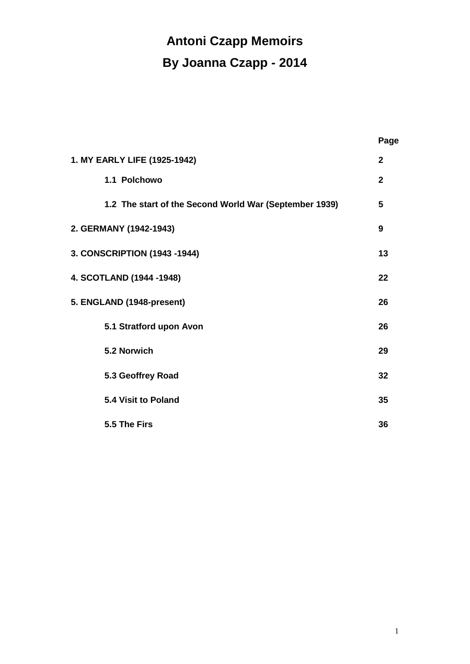# **Antoni Czapp Memoirs By Joanna Czapp - 2014**

|                                                        | Page         |
|--------------------------------------------------------|--------------|
| 1. MY EARLY LIFE (1925-1942)                           | $\mathbf{2}$ |
| 1.1 Polchowo                                           | $\mathbf{2}$ |
| 1.2 The start of the Second World War (September 1939) | 5            |
| 2. GERMANY (1942-1943)                                 | 9            |
| 3. CONSCRIPTION (1943 -1944)                           | 13           |
| 4. SCOTLAND (1944 -1948)                               | 22           |
| 5. ENGLAND (1948-present)                              | 26           |
| 5.1 Stratford upon Avon                                | 26           |
| 5.2 Norwich                                            | 29           |
| 5.3 Geoffrey Road                                      | 32           |
| <b>5.4 Visit to Poland</b>                             | 35           |
| 5.5 The Firs                                           | 36           |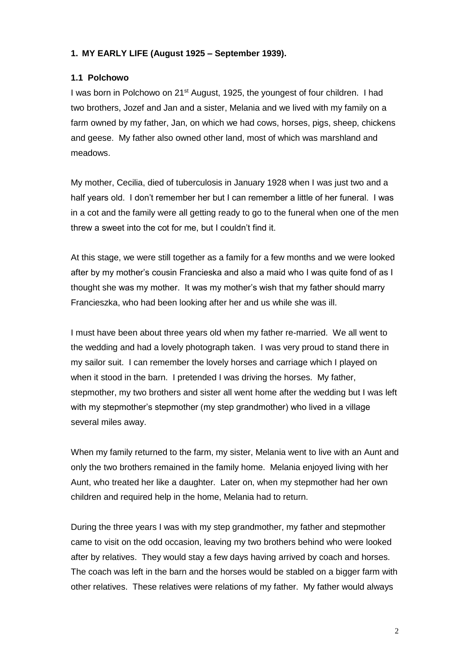# **1. MY EARLY LIFE (August 1925 – September 1939).**

## **1.1 Polchowo**

I was born in Polchowo on 21<sup>st</sup> August, 1925, the youngest of four children. I had two brothers, Jozef and Jan and a sister, Melania and we lived with my family on a farm owned by my father, Jan, on which we had cows, horses, pigs, sheep, chickens and geese. My father also owned other land, most of which was marshland and meadows.

My mother, Cecilia, died of tuberculosis in January 1928 when I was just two and a half years old. I don't remember her but I can remember a little of her funeral. I was in a cot and the family were all getting ready to go to the funeral when one of the men threw a sweet into the cot for me, but I couldn't find it.

At this stage, we were still together as a family for a few months and we were looked after by my mother's cousin Francieska and also a maid who I was quite fond of as I thought she was my mother. It was my mother's wish that my father should marry Francieszka, who had been looking after her and us while she was ill.

I must have been about three years old when my father re-married. We all went to the wedding and had a lovely photograph taken. I was very proud to stand there in my sailor suit. I can remember the lovely horses and carriage which I played on when it stood in the barn. I pretended I was driving the horses. My father, stepmother, my two brothers and sister all went home after the wedding but I was left with my stepmother's stepmother (my step grandmother) who lived in a village several miles away.

When my family returned to the farm, my sister, Melania went to live with an Aunt and only the two brothers remained in the family home. Melania enjoyed living with her Aunt, who treated her like a daughter. Later on, when my stepmother had her own children and required help in the home, Melania had to return.

During the three years I was with my step grandmother, my father and stepmother came to visit on the odd occasion, leaving my two brothers behind who were looked after by relatives. They would stay a few days having arrived by coach and horses. The coach was left in the barn and the horses would be stabled on a bigger farm with other relatives. These relatives were relations of my father. My father would always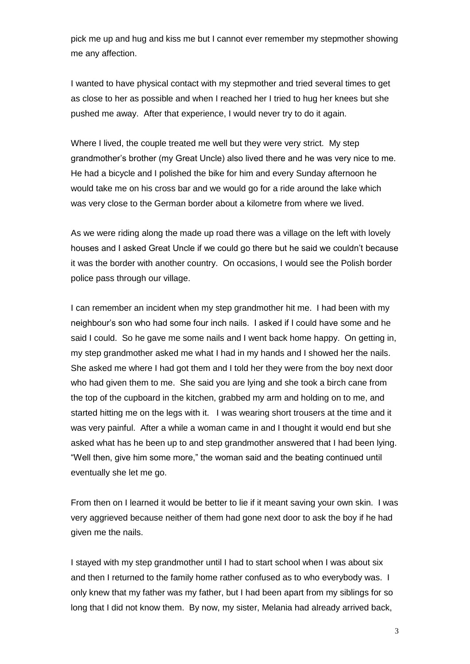pick me up and hug and kiss me but I cannot ever remember my stepmother showing me any affection.

I wanted to have physical contact with my stepmother and tried several times to get as close to her as possible and when I reached her I tried to hug her knees but she pushed me away. After that experience, I would never try to do it again.

Where I lived, the couple treated me well but they were very strict. My step grandmother's brother (my Great Uncle) also lived there and he was very nice to me. He had a bicycle and I polished the bike for him and every Sunday afternoon he would take me on his cross bar and we would go for a ride around the lake which was very close to the German border about a kilometre from where we lived.

As we were riding along the made up road there was a village on the left with lovely houses and I asked Great Uncle if we could go there but he said we couldn't because it was the border with another country. On occasions, I would see the Polish border police pass through our village.

I can remember an incident when my step grandmother hit me. I had been with my neighbour's son who had some four inch nails. I asked if I could have some and he said I could. So he gave me some nails and I went back home happy. On getting in, my step grandmother asked me what I had in my hands and I showed her the nails. She asked me where I had got them and I told her they were from the boy next door who had given them to me. She said you are lying and she took a birch cane from the top of the cupboard in the kitchen, grabbed my arm and holding on to me, and started hitting me on the legs with it. I was wearing short trousers at the time and it was very painful. After a while a woman came in and I thought it would end but she asked what has he been up to and step grandmother answered that I had been lying. "Well then, give him some more," the woman said and the beating continued until eventually she let me go.

From then on I learned it would be better to lie if it meant saving your own skin. I was very aggrieved because neither of them had gone next door to ask the boy if he had given me the nails.

I stayed with my step grandmother until I had to start school when I was about six and then I returned to the family home rather confused as to who everybody was. I only knew that my father was my father, but I had been apart from my siblings for so long that I did not know them. By now, my sister, Melania had already arrived back,

3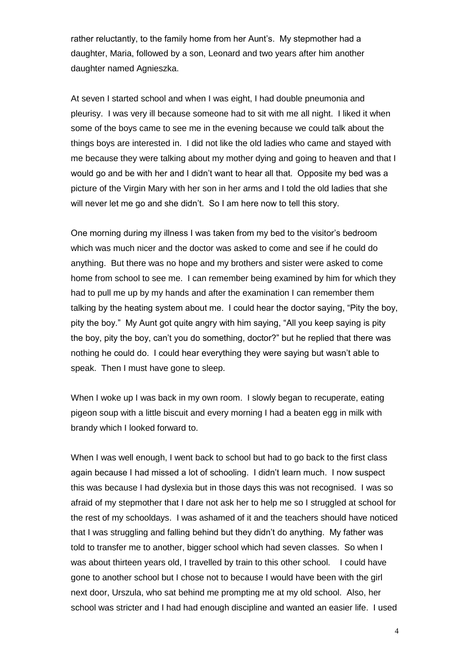rather reluctantly, to the family home from her Aunt's. My stepmother had a daughter, Maria, followed by a son, Leonard and two years after him another daughter named Agnieszka.

At seven I started school and when I was eight, I had double pneumonia and pleurisy. I was very ill because someone had to sit with me all night. I liked it when some of the boys came to see me in the evening because we could talk about the things boys are interested in. I did not like the old ladies who came and stayed with me because they were talking about my mother dying and going to heaven and that I would go and be with her and I didn't want to hear all that. Opposite my bed was a picture of the Virgin Mary with her son in her arms and I told the old ladies that she will never let me go and she didn't. So I am here now to tell this story.

One morning during my illness I was taken from my bed to the visitor's bedroom which was much nicer and the doctor was asked to come and see if he could do anything. But there was no hope and my brothers and sister were asked to come home from school to see me. I can remember being examined by him for which they had to pull me up by my hands and after the examination I can remember them talking by the heating system about me. I could hear the doctor saying, "Pity the boy, pity the boy." My Aunt got quite angry with him saying, "All you keep saying is pity the boy, pity the boy, can't you do something, doctor?" but he replied that there was nothing he could do. I could hear everything they were saying but wasn't able to speak. Then I must have gone to sleep.

When I woke up I was back in my own room. I slowly began to recuperate, eating pigeon soup with a little biscuit and every morning I had a beaten egg in milk with brandy which I looked forward to.

When I was well enough, I went back to school but had to go back to the first class again because I had missed a lot of schooling. I didn't learn much. I now suspect this was because I had dyslexia but in those days this was not recognised. I was so afraid of my stepmother that I dare not ask her to help me so I struggled at school for the rest of my schooldays. I was ashamed of it and the teachers should have noticed that I was struggling and falling behind but they didn't do anything. My father was told to transfer me to another, bigger school which had seven classes. So when I was about thirteen years old, I travelled by train to this other school. I could have gone to another school but I chose not to because I would have been with the girl next door, Urszula, who sat behind me prompting me at my old school. Also, her school was stricter and I had had enough discipline and wanted an easier life. I used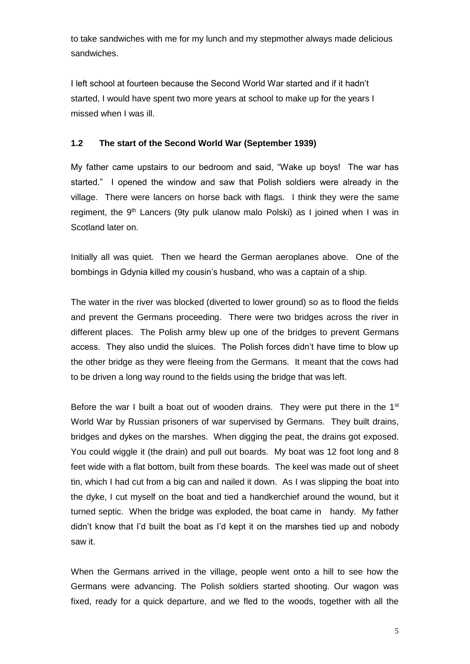to take sandwiches with me for my lunch and my stepmother always made delicious sandwiches.

I left school at fourteen because the Second World War started and if it hadn't started, I would have spent two more years at school to make up for the years I missed when I was ill.

# **1.2 The start of the Second World War (September 1939)**

My father came upstairs to our bedroom and said, "Wake up boys! The war has started." I opened the window and saw that Polish soldiers were already in the village. There were lancers on horse back with flags. I think they were the same regiment, the  $9<sup>th</sup>$  Lancers (9ty pulk ulanow malo Polski) as I joined when I was in Scotland later on.

Initially all was quiet. Then we heard the German aeroplanes above. One of the bombings in Gdynia killed my cousin's husband, who was a captain of a ship.

The water in the river was blocked (diverted to lower ground) so as to flood the fields and prevent the Germans proceeding. There were two bridges across the river in different places. The Polish army blew up one of the bridges to prevent Germans access. They also undid the sluices. The Polish forces didn't have time to blow up the other bridge as they were fleeing from the Germans. It meant that the cows had to be driven a long way round to the fields using the bridge that was left.

Before the war I built a boat out of wooden drains. They were put there in the  $1<sup>st</sup>$ World War by Russian prisoners of war supervised by Germans. They built drains, bridges and dykes on the marshes. When digging the peat, the drains got exposed. You could wiggle it (the drain) and pull out boards. My boat was 12 foot long and 8 feet wide with a flat bottom, built from these boards. The keel was made out of sheet tin, which I had cut from a big can and nailed it down. As I was slipping the boat into the dyke, I cut myself on the boat and tied a handkerchief around the wound, but it turned septic. When the bridge was exploded, the boat came in handy. My father didn't know that I'd built the boat as I'd kept it on the marshes tied up and nobody saw it.

When the Germans arrived in the village, people went onto a hill to see how the Germans were advancing. The Polish soldiers started shooting. Our wagon was fixed, ready for a quick departure, and we fled to the woods, together with all the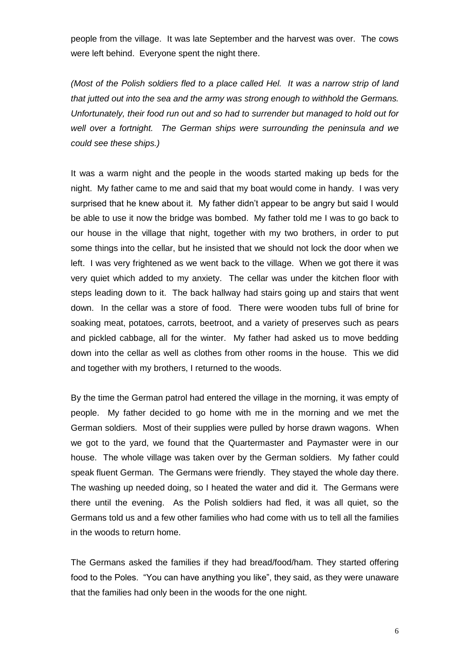people from the village. It was late September and the harvest was over. The cows were left behind. Everyone spent the night there.

*(Most of the Polish soldiers fled to a place called Hel. It was a narrow strip of land that jutted out into the sea and the army was strong enough to withhold the Germans. Unfortunately, their food run out and so had to surrender but managed to hold out for well over a fortnight. The German ships were surrounding the peninsula and we could see these ships.)* 

It was a warm night and the people in the woods started making up beds for the night. My father came to me and said that my boat would come in handy. I was very surprised that he knew about it. My father didn't appear to be angry but said I would be able to use it now the bridge was bombed. My father told me I was to go back to our house in the village that night, together with my two brothers, in order to put some things into the cellar, but he insisted that we should not lock the door when we left. I was very frightened as we went back to the village. When we got there it was very quiet which added to my anxiety. The cellar was under the kitchen floor with steps leading down to it. The back hallway had stairs going up and stairs that went down. In the cellar was a store of food. There were wooden tubs full of brine for soaking meat, potatoes, carrots, beetroot, and a variety of preserves such as pears and pickled cabbage, all for the winter. My father had asked us to move bedding down into the cellar as well as clothes from other rooms in the house. This we did and together with my brothers, I returned to the woods.

By the time the German patrol had entered the village in the morning, it was empty of people. My father decided to go home with me in the morning and we met the German soldiers. Most of their supplies were pulled by horse drawn wagons. When we got to the yard, we found that the Quartermaster and Paymaster were in our house. The whole village was taken over by the German soldiers. My father could speak fluent German. The Germans were friendly. They stayed the whole day there. The washing up needed doing, so I heated the water and did it. The Germans were there until the evening. As the Polish soldiers had fled, it was all quiet, so the Germans told us and a few other families who had come with us to tell all the families in the woods to return home.

The Germans asked the families if they had bread/food/ham. They started offering food to the Poles. "You can have anything you like", they said, as they were unaware that the families had only been in the woods for the one night.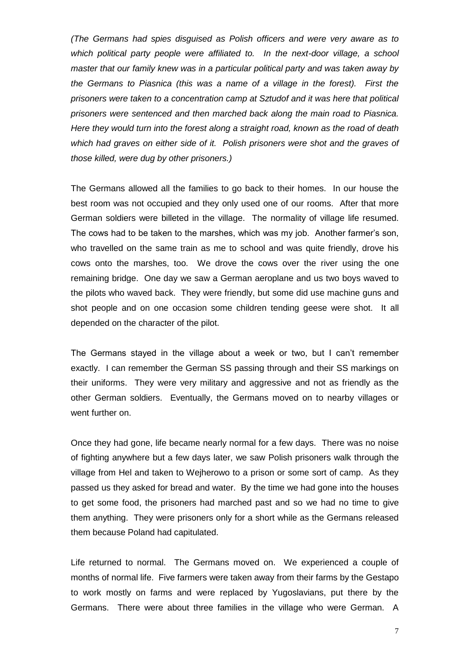*(The Germans had spies disguised as Polish officers and were very aware as to which political party people were affiliated to. In the next-door village, a school master that our family knew was in a particular political party and was taken away by the Germans to Piasnica (this was a name of a village in the forest). First the prisoners were taken to a concentration camp at Sztudof and it was here that political prisoners were sentenced and then marched back along the main road to Piasnica. Here they would turn into the forest along a straight road, known as the road of death which had graves on either side of it. Polish prisoners were shot and the graves of those killed, were dug by other prisoners.)*

The Germans allowed all the families to go back to their homes. In our house the best room was not occupied and they only used one of our rooms. After that more German soldiers were billeted in the village. The normality of village life resumed. The cows had to be taken to the marshes, which was my job. Another farmer's son, who travelled on the same train as me to school and was quite friendly, drove his cows onto the marshes, too. We drove the cows over the river using the one remaining bridge. One day we saw a German aeroplane and us two boys waved to the pilots who waved back. They were friendly, but some did use machine guns and shot people and on one occasion some children tending geese were shot. It all depended on the character of the pilot.

The Germans stayed in the village about a week or two, but I can't remember exactly. I can remember the German SS passing through and their SS markings on their uniforms. They were very military and aggressive and not as friendly as the other German soldiers. Eventually, the Germans moved on to nearby villages or went further on.

Once they had gone, life became nearly normal for a few days. There was no noise of fighting anywhere but a few days later, we saw Polish prisoners walk through the village from Hel and taken to Wejherowo to a prison or some sort of camp. As they passed us they asked for bread and water. By the time we had gone into the houses to get some food, the prisoners had marched past and so we had no time to give them anything. They were prisoners only for a short while as the Germans released them because Poland had capitulated.

Life returned to normal. The Germans moved on. We experienced a couple of months of normal life. Five farmers were taken away from their farms by the Gestapo to work mostly on farms and were replaced by Yugoslavians, put there by the Germans. There were about three families in the village who were German. A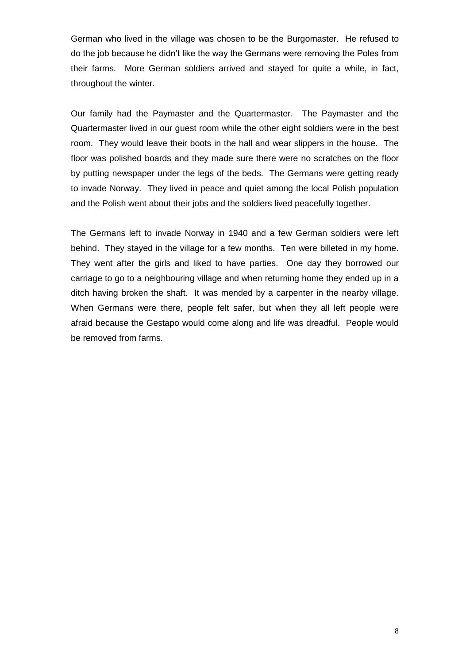German who lived in the village was chosen to be the Burgomaster. He refused to do the job because he didn't like the way the Germans were removing the Poles from their farms. More German soldiers arrived and stayed for quite a while, in fact, throughout the winter.

Our family had the Paymaster and the Quartermaster. The Paymaster and the Quartermaster lived in our guest room while the other eight soldiers were in the best room. They would leave their boots in the hall and wear slippers in the house. The floor was polished boards and they made sure there were no scratches on the floor by putting newspaper under the legs of the beds. The Germans were getting ready to invade Norway. They lived in peace and quiet among the local Polish population and the Polish went about their jobs and the soldiers lived peacefully together.

The Germans left to invade Norway in 1940 and a few German soldiers were left behind. They stayed in the village for a few months. Ten were billeted in my home. They went after the girls and liked to have parties. One day they borrowed our carriage to go to a neighbouring village and when returning home they ended up in a ditch having broken the shaft. It was mended by a carpenter in the nearby village. When Germans were there, people felt safer, but when they all left people were afraid because the Gestapo would come along and life was dreadful. People would be removed from farms.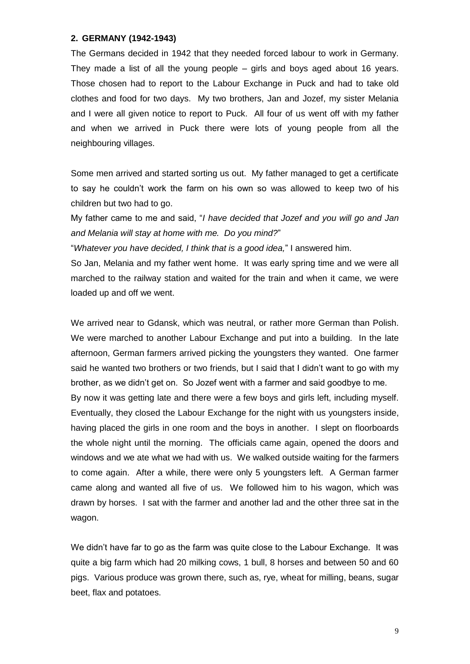#### **2. GERMANY (1942-1943)**

The Germans decided in 1942 that they needed forced labour to work in Germany. They made a list of all the young people – girls and boys aged about 16 years. Those chosen had to report to the Labour Exchange in Puck and had to take old clothes and food for two days. My two brothers, Jan and Jozef, my sister Melania and I were all given notice to report to Puck. All four of us went off with my father and when we arrived in Puck there were lots of young people from all the neighbouring villages.

Some men arrived and started sorting us out. My father managed to get a certificate to say he couldn't work the farm on his own so was allowed to keep two of his children but two had to go.

My father came to me and said, "*I have decided that Jozef and you will go and Jan and Melania will stay at home with me. Do you mind?*"

"*Whatever you have decided, I think that is a good idea,*" I answered him.

So Jan, Melania and my father went home. It was early spring time and we were all marched to the railway station and waited for the train and when it came, we were loaded up and off we went.

We arrived near to Gdansk, which was neutral, or rather more German than Polish. We were marched to another Labour Exchange and put into a building. In the late afternoon, German farmers arrived picking the youngsters they wanted. One farmer said he wanted two brothers or two friends, but I said that I didn't want to go with my brother, as we didn't get on. So Jozef went with a farmer and said goodbye to me.

By now it was getting late and there were a few boys and girls left, including myself. Eventually, they closed the Labour Exchange for the night with us youngsters inside, having placed the girls in one room and the boys in another. I slept on floorboards the whole night until the morning. The officials came again, opened the doors and windows and we ate what we had with us. We walked outside waiting for the farmers to come again. After a while, there were only 5 youngsters left. A German farmer came along and wanted all five of us. We followed him to his wagon, which was drawn by horses. I sat with the farmer and another lad and the other three sat in the wagon.

We didn't have far to go as the farm was quite close to the Labour Exchange. It was quite a big farm which had 20 milking cows, 1 bull, 8 horses and between 50 and 60 pigs. Various produce was grown there, such as, rye, wheat for milling, beans, sugar beet, flax and potatoes.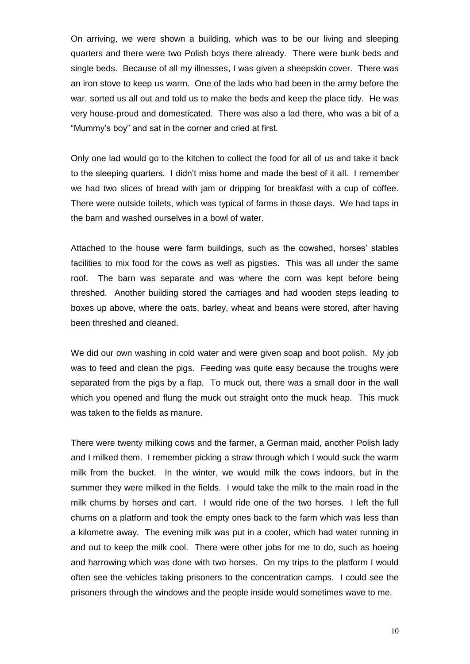On arriving, we were shown a building, which was to be our living and sleeping quarters and there were two Polish boys there already. There were bunk beds and single beds. Because of all my illnesses, I was given a sheepskin cover. There was an iron stove to keep us warm. One of the lads who had been in the army before the war, sorted us all out and told us to make the beds and keep the place tidy. He was very house-proud and domesticated. There was also a lad there, who was a bit of a "Mummy's boy" and sat in the corner and cried at first.

Only one lad would go to the kitchen to collect the food for all of us and take it back to the sleeping quarters. I didn't miss home and made the best of it all. I remember we had two slices of bread with jam or dripping for breakfast with a cup of coffee. There were outside toilets, which was typical of farms in those days. We had taps in the barn and washed ourselves in a bowl of water.

Attached to the house were farm buildings, such as the cowshed, horses' stables facilities to mix food for the cows as well as pigsties. This was all under the same roof. The barn was separate and was where the corn was kept before being threshed. Another building stored the carriages and had wooden steps leading to boxes up above, where the oats, barley, wheat and beans were stored, after having been threshed and cleaned.

We did our own washing in cold water and were given soap and boot polish. My job was to feed and clean the pigs. Feeding was quite easy because the troughs were separated from the pigs by a flap. To muck out, there was a small door in the wall which you opened and flung the muck out straight onto the muck heap. This muck was taken to the fields as manure.

There were twenty milking cows and the farmer, a German maid, another Polish lady and I milked them. I remember picking a straw through which I would suck the warm milk from the bucket. In the winter, we would milk the cows indoors, but in the summer they were milked in the fields. I would take the milk to the main road in the milk churns by horses and cart. I would ride one of the two horses. I left the full churns on a platform and took the empty ones back to the farm which was less than a kilometre away. The evening milk was put in a cooler, which had water running in and out to keep the milk cool. There were other jobs for me to do, such as hoeing and harrowing which was done with two horses. On my trips to the platform I would often see the vehicles taking prisoners to the concentration camps. I could see the prisoners through the windows and the people inside would sometimes wave to me.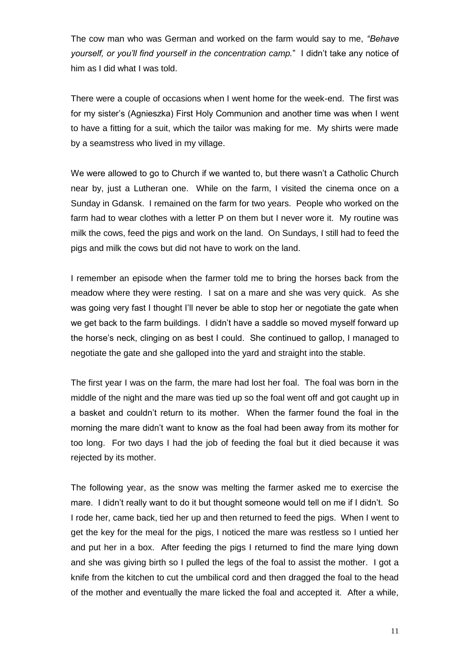The cow man who was German and worked on the farm would say to me, *"Behave yourself, or you'll find yourself in the concentration camp.*" I didn't take any notice of him as I did what I was told.

There were a couple of occasions when I went home for the week-end. The first was for my sister's (Agnieszka) First Holy Communion and another time was when I went to have a fitting for a suit, which the tailor was making for me. My shirts were made by a seamstress who lived in my village.

We were allowed to go to Church if we wanted to, but there wasn't a Catholic Church near by, just a Lutheran one. While on the farm, I visited the cinema once on a Sunday in Gdansk. I remained on the farm for two years. People who worked on the farm had to wear clothes with a letter P on them but I never wore it. My routine was milk the cows, feed the pigs and work on the land. On Sundays, I still had to feed the pigs and milk the cows but did not have to work on the land.

I remember an episode when the farmer told me to bring the horses back from the meadow where they were resting. I sat on a mare and she was very quick. As she was going very fast I thought I'll never be able to stop her or negotiate the gate when we get back to the farm buildings. I didn't have a saddle so moved myself forward up the horse's neck, clinging on as best I could. She continued to gallop, I managed to negotiate the gate and she galloped into the yard and straight into the stable.

The first year I was on the farm, the mare had lost her foal. The foal was born in the middle of the night and the mare was tied up so the foal went off and got caught up in a basket and couldn't return to its mother. When the farmer found the foal in the morning the mare didn't want to know as the foal had been away from its mother for too long. For two days I had the job of feeding the foal but it died because it was rejected by its mother.

The following year, as the snow was melting the farmer asked me to exercise the mare. I didn't really want to do it but thought someone would tell on me if I didn't. So I rode her, came back, tied her up and then returned to feed the pigs. When I went to get the key for the meal for the pigs, I noticed the mare was restless so I untied her and put her in a box. After feeding the pigs I returned to find the mare lying down and she was giving birth so I pulled the legs of the foal to assist the mother. I got a knife from the kitchen to cut the umbilical cord and then dragged the foal to the head of the mother and eventually the mare licked the foal and accepted it. After a while,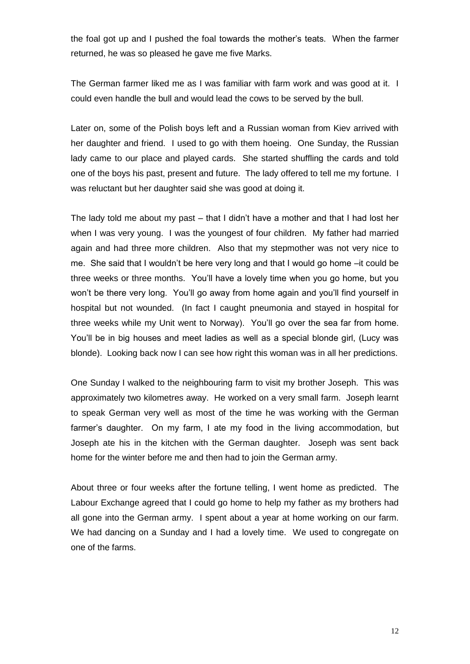the foal got up and I pushed the foal towards the mother's teats. When the farmer returned, he was so pleased he gave me five Marks.

The German farmer liked me as I was familiar with farm work and was good at it. I could even handle the bull and would lead the cows to be served by the bull.

Later on, some of the Polish boys left and a Russian woman from Kiev arrived with her daughter and friend. I used to go with them hoeing. One Sunday, the Russian lady came to our place and played cards. She started shuffling the cards and told one of the boys his past, present and future. The lady offered to tell me my fortune. I was reluctant but her daughter said she was good at doing it.

The lady told me about my past – that I didn't have a mother and that I had lost her when I was very young. I was the youngest of four children. My father had married again and had three more children. Also that my stepmother was not very nice to me. She said that I wouldn't be here very long and that I would go home –it could be three weeks or three months. You'll have a lovely time when you go home, but you won't be there very long. You'll go away from home again and you'll find yourself in hospital but not wounded. (In fact I caught pneumonia and stayed in hospital for three weeks while my Unit went to Norway). You'll go over the sea far from home. You'll be in big houses and meet ladies as well as a special blonde girl, (Lucy was blonde). Looking back now I can see how right this woman was in all her predictions.

One Sunday I walked to the neighbouring farm to visit my brother Joseph. This was approximately two kilometres away. He worked on a very small farm. Joseph learnt to speak German very well as most of the time he was working with the German farmer's daughter. On my farm, I ate my food in the living accommodation, but Joseph ate his in the kitchen with the German daughter. Joseph was sent back home for the winter before me and then had to join the German army.

About three or four weeks after the fortune telling, I went home as predicted. The Labour Exchange agreed that I could go home to help my father as my brothers had all gone into the German army. I spent about a year at home working on our farm. We had dancing on a Sunday and I had a lovely time. We used to congregate on one of the farms.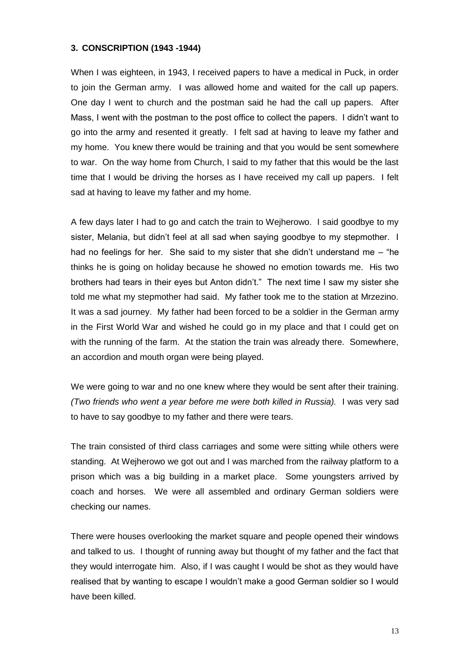## **3. CONSCRIPTION (1943 -1944)**

When I was eighteen, in 1943, I received papers to have a medical in Puck, in order to join the German army. I was allowed home and waited for the call up papers. One day I went to church and the postman said he had the call up papers. After Mass, I went with the postman to the post office to collect the papers. I didn't want to go into the army and resented it greatly. I felt sad at having to leave my father and my home. You knew there would be training and that you would be sent somewhere to war. On the way home from Church, I said to my father that this would be the last time that I would be driving the horses as I have received my call up papers. I felt sad at having to leave my father and my home.

A few days later I had to go and catch the train to Wejherowo. I said goodbye to my sister, Melania, but didn't feel at all sad when saying goodbye to my stepmother. I had no feelings for her. She said to my sister that she didn't understand me  $-$  "he thinks he is going on holiday because he showed no emotion towards me. His two brothers had tears in their eyes but Anton didn't." The next time I saw my sister she told me what my stepmother had said. My father took me to the station at Mrzezino. It was a sad journey. My father had been forced to be a soldier in the German army in the First World War and wished he could go in my place and that I could get on with the running of the farm. At the station the train was already there. Somewhere, an accordion and mouth organ were being played.

We were going to war and no one knew where they would be sent after their training. *(Two friends who went a year before me were both killed in Russia).* I was very sad to have to say goodbye to my father and there were tears.

The train consisted of third class carriages and some were sitting while others were standing. At Wejherowo we got out and I was marched from the railway platform to a prison which was a big building in a market place. Some youngsters arrived by coach and horses. We were all assembled and ordinary German soldiers were checking our names.

There were houses overlooking the market square and people opened their windows and talked to us. I thought of running away but thought of my father and the fact that they would interrogate him. Also, if I was caught I would be shot as they would have realised that by wanting to escape I wouldn't make a good German soldier so I would have been killed.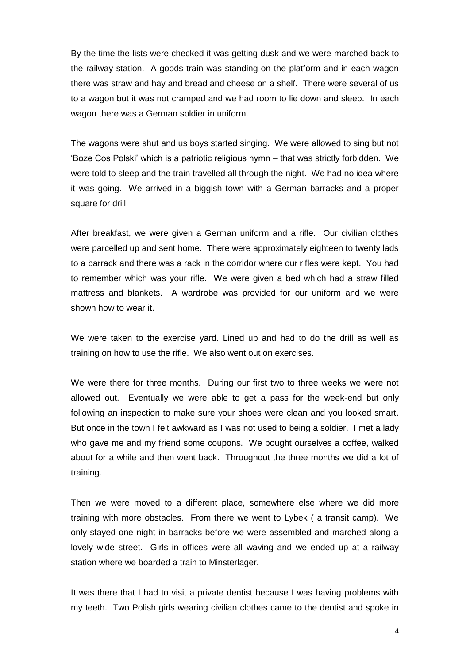By the time the lists were checked it was getting dusk and we were marched back to the railway station. A goods train was standing on the platform and in each wagon there was straw and hay and bread and cheese on a shelf. There were several of us to a wagon but it was not cramped and we had room to lie down and sleep. In each wagon there was a German soldier in uniform.

The wagons were shut and us boys started singing. We were allowed to sing but not 'Boze Cos Polski' which is a patriotic religious hymn – that was strictly forbidden. We were told to sleep and the train travelled all through the night. We had no idea where it was going. We arrived in a biggish town with a German barracks and a proper square for drill.

After breakfast, we were given a German uniform and a rifle. Our civilian clothes were parcelled up and sent home. There were approximately eighteen to twenty lads to a barrack and there was a rack in the corridor where our rifles were kept. You had to remember which was your rifle. We were given a bed which had a straw filled mattress and blankets. A wardrobe was provided for our uniform and we were shown how to wear it.

We were taken to the exercise yard. Lined up and had to do the drill as well as training on how to use the rifle. We also went out on exercises.

We were there for three months. During our first two to three weeks we were not allowed out. Eventually we were able to get a pass for the week-end but only following an inspection to make sure your shoes were clean and you looked smart. But once in the town I felt awkward as I was not used to being a soldier. I met a lady who gave me and my friend some coupons. We bought ourselves a coffee, walked about for a while and then went back. Throughout the three months we did a lot of training.

Then we were moved to a different place, somewhere else where we did more training with more obstacles. From there we went to Lybek ( a transit camp). We only stayed one night in barracks before we were assembled and marched along a lovely wide street. Girls in offices were all waving and we ended up at a railway station where we boarded a train to Minsterlager.

It was there that I had to visit a private dentist because I was having problems with my teeth. Two Polish girls wearing civilian clothes came to the dentist and spoke in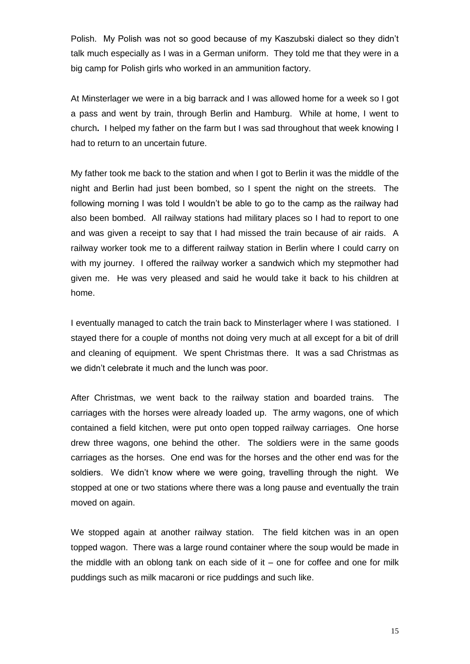Polish. My Polish was not so good because of my Kaszubski dialect so they didn't talk much especially as I was in a German uniform. They told me that they were in a big camp for Polish girls who worked in an ammunition factory.

At Minsterlager we were in a big barrack and I was allowed home for a week so I got a pass and went by train, through Berlin and Hamburg. While at home, I went to church**.** I helped my father on the farm but I was sad throughout that week knowing I had to return to an uncertain future.

My father took me back to the station and when I got to Berlin it was the middle of the night and Berlin had just been bombed, so I spent the night on the streets. The following morning I was told I wouldn't be able to go to the camp as the railway had also been bombed. All railway stations had military places so I had to report to one and was given a receipt to say that I had missed the train because of air raids. A railway worker took me to a different railway station in Berlin where I could carry on with my journey. I offered the railway worker a sandwich which my stepmother had given me. He was very pleased and said he would take it back to his children at home.

I eventually managed to catch the train back to Minsterlager where I was stationed. I stayed there for a couple of months not doing very much at all except for a bit of drill and cleaning of equipment. We spent Christmas there. It was a sad Christmas as we didn't celebrate it much and the lunch was poor.

After Christmas, we went back to the railway station and boarded trains. The carriages with the horses were already loaded up. The army wagons, one of which contained a field kitchen, were put onto open topped railway carriages. One horse drew three wagons, one behind the other. The soldiers were in the same goods carriages as the horses. One end was for the horses and the other end was for the soldiers. We didn't know where we were going, travelling through the night. We stopped at one or two stations where there was a long pause and eventually the train moved on again.

We stopped again at another railway station. The field kitchen was in an open topped wagon. There was a large round container where the soup would be made in the middle with an oblong tank on each side of it – one for coffee and one for milk puddings such as milk macaroni or rice puddings and such like.

15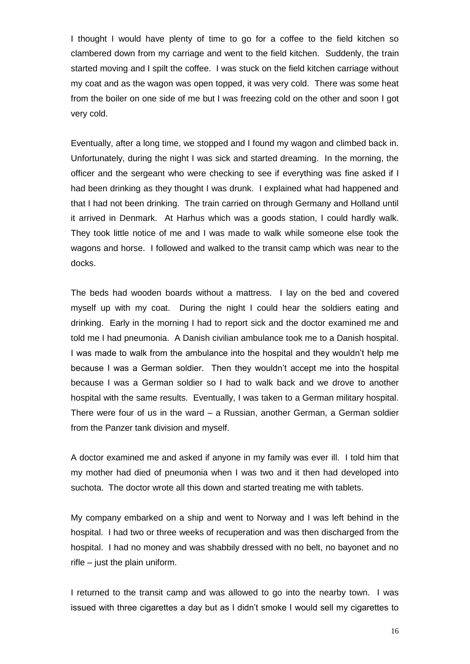I thought I would have plenty of time to go for a coffee to the field kitchen so clambered down from my carriage and went to the field kitchen. Suddenly, the train started moving and I spilt the coffee. I was stuck on the field kitchen carriage without my coat and as the wagon was open topped, it was very cold. There was some heat from the boiler on one side of me but I was freezing cold on the other and soon I got very cold.

Eventually, after a long time, we stopped and I found my wagon and climbed back in. Unfortunately, during the night I was sick and started dreaming. In the morning, the officer and the sergeant who were checking to see if everything was fine asked if I had been drinking as they thought I was drunk. I explained what had happened and that I had not been drinking. The train carried on through Germany and Holland until it arrived in Denmark. At Harhus which was a goods station, I could hardly walk. They took little notice of me and I was made to walk while someone else took the wagons and horse. I followed and walked to the transit camp which was near to the docks.

The beds had wooden boards without a mattress. I lay on the bed and covered myself up with my coat. During the night I could hear the soldiers eating and drinking. Early in the morning I had to report sick and the doctor examined me and told me I had pneumonia. A Danish civilian ambulance took me to a Danish hospital. I was made to walk from the ambulance into the hospital and they wouldn't help me because I was a German soldier. Then they wouldn't accept me into the hospital because I was a German soldier so I had to walk back and we drove to another hospital with the same results. Eventually, I was taken to a German military hospital. There were four of us in the ward  $-$  a Russian, another German, a German soldier from the Panzer tank division and myself.

A doctor examined me and asked if anyone in my family was ever ill. I told him that my mother had died of pneumonia when I was two and it then had developed into suchota. The doctor wrote all this down and started treating me with tablets.

My company embarked on a ship and went to Norway and I was left behind in the hospital. I had two or three weeks of recuperation and was then discharged from the hospital. I had no money and was shabbily dressed with no belt, no bayonet and no rifle – just the plain uniform.

I returned to the transit camp and was allowed to go into the nearby town. I was issued with three cigarettes a day but as I didn't smoke I would sell my cigarettes to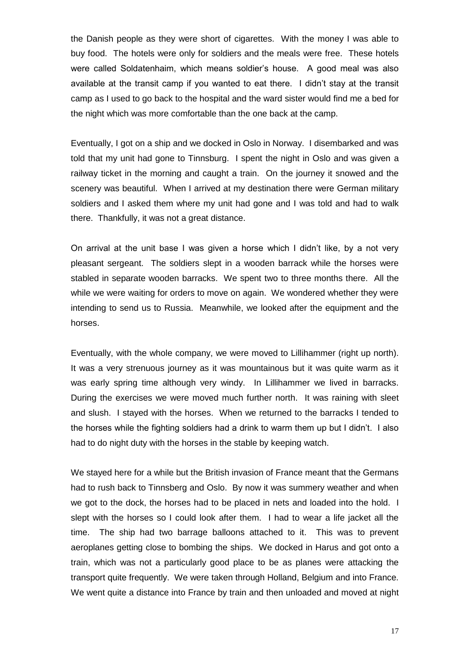the Danish people as they were short of cigarettes. With the money I was able to buy food. The hotels were only for soldiers and the meals were free. These hotels were called Soldatenhaim, which means soldier's house. A good meal was also available at the transit camp if you wanted to eat there. I didn't stay at the transit camp as I used to go back to the hospital and the ward sister would find me a bed for the night which was more comfortable than the one back at the camp.

Eventually, I got on a ship and we docked in Oslo in Norway. I disembarked and was told that my unit had gone to Tinnsburg. I spent the night in Oslo and was given a railway ticket in the morning and caught a train. On the journey it snowed and the scenery was beautiful. When I arrived at my destination there were German military soldiers and I asked them where my unit had gone and I was told and had to walk there. Thankfully, it was not a great distance.

On arrival at the unit base I was given a horse which I didn't like, by a not very pleasant sergeant. The soldiers slept in a wooden barrack while the horses were stabled in separate wooden barracks. We spent two to three months there. All the while we were waiting for orders to move on again. We wondered whether they were intending to send us to Russia. Meanwhile, we looked after the equipment and the horses.

Eventually, with the whole company, we were moved to Lillihammer (right up north). It was a very strenuous journey as it was mountainous but it was quite warm as it was early spring time although very windy. In Lillihammer we lived in barracks. During the exercises we were moved much further north. It was raining with sleet and slush. I stayed with the horses. When we returned to the barracks I tended to the horses while the fighting soldiers had a drink to warm them up but I didn't. I also had to do night duty with the horses in the stable by keeping watch.

We stayed here for a while but the British invasion of France meant that the Germans had to rush back to Tinnsberg and Oslo. By now it was summery weather and when we got to the dock, the horses had to be placed in nets and loaded into the hold. I slept with the horses so I could look after them. I had to wear a life jacket all the time. The ship had two barrage balloons attached to it. This was to prevent aeroplanes getting close to bombing the ships. We docked in Harus and got onto a train, which was not a particularly good place to be as planes were attacking the transport quite frequently. We were taken through Holland, Belgium and into France. We went quite a distance into France by train and then unloaded and moved at night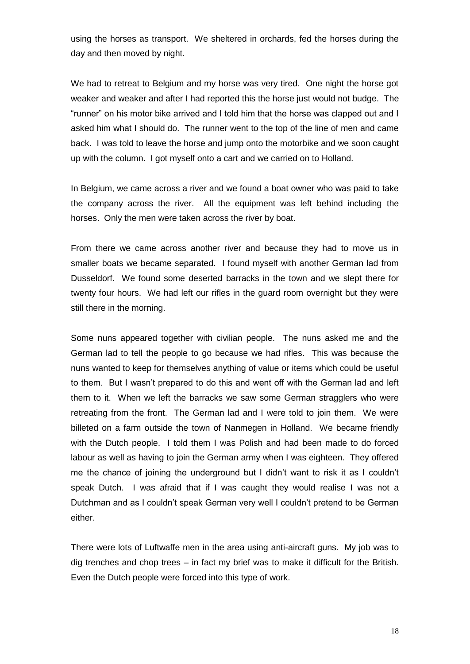using the horses as transport. We sheltered in orchards, fed the horses during the day and then moved by night.

We had to retreat to Belgium and my horse was very tired. One night the horse got weaker and weaker and after I had reported this the horse just would not budge. The "runner" on his motor bike arrived and I told him that the horse was clapped out and I asked him what I should do. The runner went to the top of the line of men and came back. I was told to leave the horse and jump onto the motorbike and we soon caught up with the column. I got myself onto a cart and we carried on to Holland.

In Belgium, we came across a river and we found a boat owner who was paid to take the company across the river. All the equipment was left behind including the horses. Only the men were taken across the river by boat.

From there we came across another river and because they had to move us in smaller boats we became separated. I found myself with another German lad from Dusseldorf. We found some deserted barracks in the town and we slept there for twenty four hours. We had left our rifles in the guard room overnight but they were still there in the morning.

Some nuns appeared together with civilian people. The nuns asked me and the German lad to tell the people to go because we had rifles. This was because the nuns wanted to keep for themselves anything of value or items which could be useful to them. But I wasn't prepared to do this and went off with the German lad and left them to it. When we left the barracks we saw some German stragglers who were retreating from the front. The German lad and I were told to join them. We were billeted on a farm outside the town of Nanmegen in Holland. We became friendly with the Dutch people. I told them I was Polish and had been made to do forced labour as well as having to join the German army when I was eighteen. They offered me the chance of joining the underground but I didn't want to risk it as I couldn't speak Dutch. I was afraid that if I was caught they would realise I was not a Dutchman and as I couldn't speak German very well I couldn't pretend to be German either.

There were lots of Luftwaffe men in the area using anti-aircraft guns. My job was to dig trenches and chop trees – in fact my brief was to make it difficult for the British. Even the Dutch people were forced into this type of work.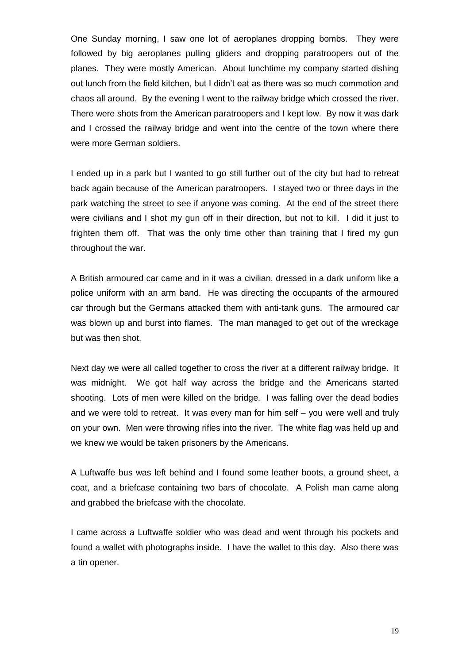One Sunday morning, I saw one lot of aeroplanes dropping bombs. They were followed by big aeroplanes pulling gliders and dropping paratroopers out of the planes. They were mostly American. About lunchtime my company started dishing out lunch from the field kitchen, but I didn't eat as there was so much commotion and chaos all around. By the evening I went to the railway bridge which crossed the river. There were shots from the American paratroopers and I kept low. By now it was dark and I crossed the railway bridge and went into the centre of the town where there were more German soldiers.

I ended up in a park but I wanted to go still further out of the city but had to retreat back again because of the American paratroopers. I stayed two or three days in the park watching the street to see if anyone was coming. At the end of the street there were civilians and I shot my gun off in their direction, but not to kill. I did it just to frighten them off. That was the only time other than training that I fired my gun throughout the war.

A British armoured car came and in it was a civilian, dressed in a dark uniform like a police uniform with an arm band. He was directing the occupants of the armoured car through but the Germans attacked them with anti-tank guns. The armoured car was blown up and burst into flames. The man managed to get out of the wreckage but was then shot.

Next day we were all called together to cross the river at a different railway bridge. It was midnight. We got half way across the bridge and the Americans started shooting. Lots of men were killed on the bridge. I was falling over the dead bodies and we were told to retreat. It was every man for him self – you were well and truly on your own. Men were throwing rifles into the river. The white flag was held up and we knew we would be taken prisoners by the Americans.

A Luftwaffe bus was left behind and I found some leather boots, a ground sheet, a coat, and a briefcase containing two bars of chocolate. A Polish man came along and grabbed the briefcase with the chocolate.

I came across a Luftwaffe soldier who was dead and went through his pockets and found a wallet with photographs inside. I have the wallet to this day. Also there was a tin opener.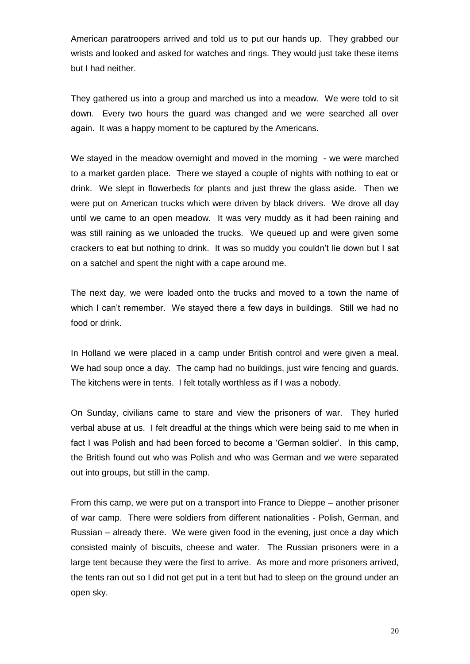American paratroopers arrived and told us to put our hands up. They grabbed our wrists and looked and asked for watches and rings. They would just take these items but I had neither.

They gathered us into a group and marched us into a meadow. We were told to sit down. Every two hours the guard was changed and we were searched all over again. It was a happy moment to be captured by the Americans.

We stayed in the meadow overnight and moved in the morning - we were marched to a market garden place. There we stayed a couple of nights with nothing to eat or drink. We slept in flowerbeds for plants and just threw the glass aside. Then we were put on American trucks which were driven by black drivers. We drove all day until we came to an open meadow. It was very muddy as it had been raining and was still raining as we unloaded the trucks. We queued up and were given some crackers to eat but nothing to drink. It was so muddy you couldn't lie down but I sat on a satchel and spent the night with a cape around me.

The next day, we were loaded onto the trucks and moved to a town the name of which I can't remember. We stayed there a few days in buildings. Still we had no food or drink.

In Holland we were placed in a camp under British control and were given a meal. We had soup once a day. The camp had no buildings, just wire fencing and quards. The kitchens were in tents. I felt totally worthless as if I was a nobody.

On Sunday, civilians came to stare and view the prisoners of war. They hurled verbal abuse at us. I felt dreadful at the things which were being said to me when in fact I was Polish and had been forced to become a 'German soldier'. In this camp, the British found out who was Polish and who was German and we were separated out into groups, but still in the camp.

From this camp, we were put on a transport into France to Dieppe – another prisoner of war camp. There were soldiers from different nationalities - Polish, German, and Russian – already there. We were given food in the evening, just once a day which consisted mainly of biscuits, cheese and water. The Russian prisoners were in a large tent because they were the first to arrive. As more and more prisoners arrived, the tents ran out so I did not get put in a tent but had to sleep on the ground under an open sky.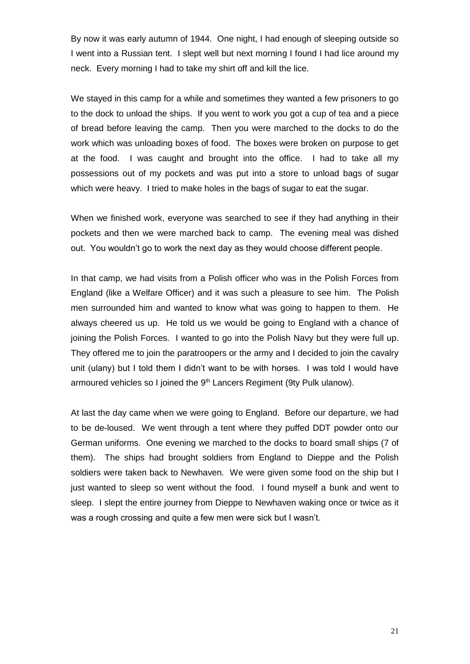By now it was early autumn of 1944. One night, I had enough of sleeping outside so I went into a Russian tent. I slept well but next morning I found I had lice around my neck. Every morning I had to take my shirt off and kill the lice.

We stayed in this camp for a while and sometimes they wanted a few prisoners to go to the dock to unload the ships. If you went to work you got a cup of tea and a piece of bread before leaving the camp. Then you were marched to the docks to do the work which was unloading boxes of food. The boxes were broken on purpose to get at the food. I was caught and brought into the office. I had to take all my possessions out of my pockets and was put into a store to unload bags of sugar which were heavy. I tried to make holes in the bags of sugar to eat the sugar.

When we finished work, everyone was searched to see if they had anything in their pockets and then we were marched back to camp. The evening meal was dished out. You wouldn't go to work the next day as they would choose different people.

In that camp, we had visits from a Polish officer who was in the Polish Forces from England (like a Welfare Officer) and it was such a pleasure to see him. The Polish men surrounded him and wanted to know what was going to happen to them. He always cheered us up. He told us we would be going to England with a chance of joining the Polish Forces. I wanted to go into the Polish Navy but they were full up. They offered me to join the paratroopers or the army and I decided to join the cavalry unit (ulany) but I told them I didn't want to be with horses. I was told I would have armoured vehicles so I joined the 9<sup>th</sup> Lancers Regiment (9ty Pulk ulanow).

At last the day came when we were going to England. Before our departure, we had to be de-loused. We went through a tent where they puffed DDT powder onto our German uniforms. One evening we marched to the docks to board small ships (7 of them). The ships had brought soldiers from England to Dieppe and the Polish soldiers were taken back to Newhaven. We were given some food on the ship but I just wanted to sleep so went without the food. I found myself a bunk and went to sleep. I slept the entire journey from Dieppe to Newhaven waking once or twice as it was a rough crossing and quite a few men were sick but I wasn't.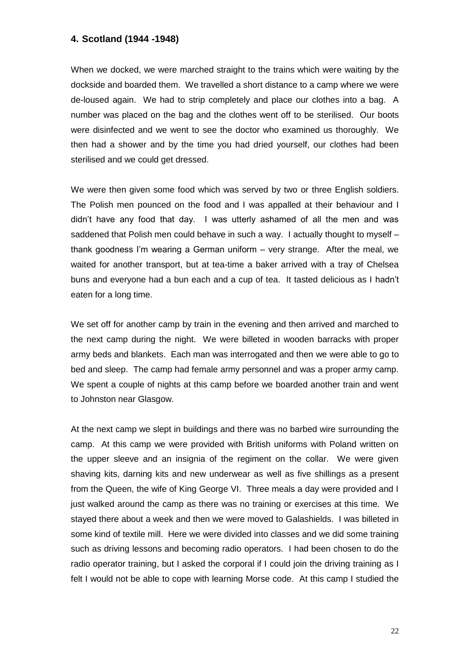## **4. Scotland (1944 -1948)**

When we docked, we were marched straight to the trains which were waiting by the dockside and boarded them. We travelled a short distance to a camp where we were de-loused again. We had to strip completely and place our clothes into a bag. A number was placed on the bag and the clothes went off to be sterilised. Our boots were disinfected and we went to see the doctor who examined us thoroughly. We then had a shower and by the time you had dried yourself, our clothes had been sterilised and we could get dressed.

We were then given some food which was served by two or three English soldiers. The Polish men pounced on the food and I was appalled at their behaviour and I didn't have any food that day. I was utterly ashamed of all the men and was saddened that Polish men could behave in such a way. I actually thought to myself – thank goodness I'm wearing a German uniform – very strange. After the meal, we waited for another transport, but at tea-time a baker arrived with a tray of Chelsea buns and everyone had a bun each and a cup of tea. It tasted delicious as I hadn't eaten for a long time.

We set off for another camp by train in the evening and then arrived and marched to the next camp during the night. We were billeted in wooden barracks with proper army beds and blankets. Each man was interrogated and then we were able to go to bed and sleep. The camp had female army personnel and was a proper army camp. We spent a couple of nights at this camp before we boarded another train and went to Johnston near Glasgow.

At the next camp we slept in buildings and there was no barbed wire surrounding the camp. At this camp we were provided with British uniforms with Poland written on the upper sleeve and an insignia of the regiment on the collar. We were given shaving kits, darning kits and new underwear as well as five shillings as a present from the Queen, the wife of King George VI. Three meals a day were provided and I just walked around the camp as there was no training or exercises at this time. We stayed there about a week and then we were moved to Galashields. I was billeted in some kind of textile mill. Here we were divided into classes and we did some training such as driving lessons and becoming radio operators. I had been chosen to do the radio operator training, but I asked the corporal if I could join the driving training as I felt I would not be able to cope with learning Morse code. At this camp I studied the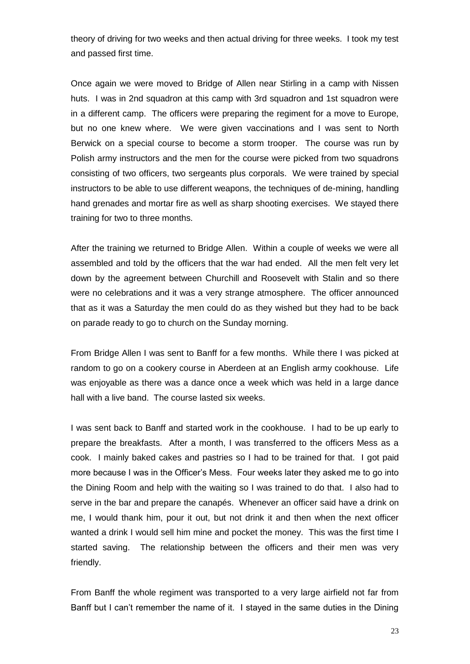theory of driving for two weeks and then actual driving for three weeks. I took my test and passed first time.

Once again we were moved to Bridge of Allen near Stirling in a camp with Nissen huts. I was in 2nd squadron at this camp with 3rd squadron and 1st squadron were in a different camp. The officers were preparing the regiment for a move to Europe, but no one knew where. We were given vaccinations and I was sent to North Berwick on a special course to become a storm trooper. The course was run by Polish army instructors and the men for the course were picked from two squadrons consisting of two officers, two sergeants plus corporals. We were trained by special instructors to be able to use different weapons, the techniques of de-mining, handling hand grenades and mortar fire as well as sharp shooting exercises. We stayed there training for two to three months.

After the training we returned to Bridge Allen. Within a couple of weeks we were all assembled and told by the officers that the war had ended. All the men felt very let down by the agreement between Churchill and Roosevelt with Stalin and so there were no celebrations and it was a very strange atmosphere. The officer announced that as it was a Saturday the men could do as they wished but they had to be back on parade ready to go to church on the Sunday morning.

From Bridge Allen I was sent to Banff for a few months. While there I was picked at random to go on a cookery course in Aberdeen at an English army cookhouse. Life was enjoyable as there was a dance once a week which was held in a large dance hall with a live band. The course lasted six weeks.

I was sent back to Banff and started work in the cookhouse. I had to be up early to prepare the breakfasts. After a month, I was transferred to the officers Mess as a cook. I mainly baked cakes and pastries so I had to be trained for that. I got paid more because I was in the Officer's Mess. Four weeks later they asked me to go into the Dining Room and help with the waiting so I was trained to do that. I also had to serve in the bar and prepare the canapés. Whenever an officer said have a drink on me, I would thank him, pour it out, but not drink it and then when the next officer wanted a drink I would sell him mine and pocket the money. This was the first time I started saving. The relationship between the officers and their men was very friendly.

From Banff the whole regiment was transported to a very large airfield not far from Banff but I can't remember the name of it. I stayed in the same duties in the Dining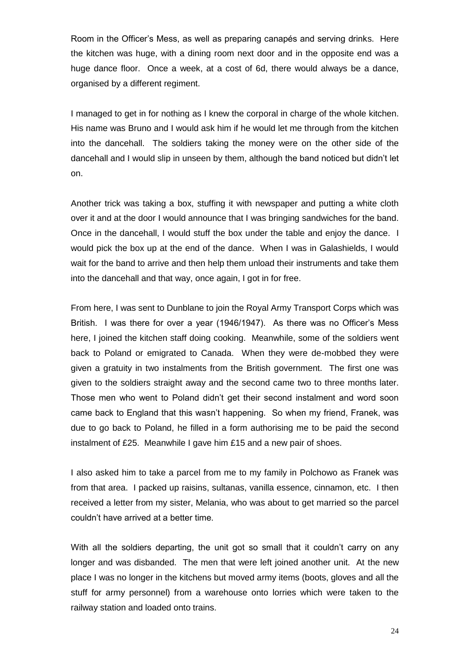Room in the Officer's Mess, as well as preparing canapés and serving drinks. Here the kitchen was huge, with a dining room next door and in the opposite end was a huge dance floor. Once a week, at a cost of 6d, there would always be a dance, organised by a different regiment.

I managed to get in for nothing as I knew the corporal in charge of the whole kitchen. His name was Bruno and I would ask him if he would let me through from the kitchen into the dancehall. The soldiers taking the money were on the other side of the dancehall and I would slip in unseen by them, although the band noticed but didn't let on.

Another trick was taking a box, stuffing it with newspaper and putting a white cloth over it and at the door I would announce that I was bringing sandwiches for the band. Once in the dancehall, I would stuff the box under the table and enjoy the dance. I would pick the box up at the end of the dance. When I was in Galashields, I would wait for the band to arrive and then help them unload their instruments and take them into the dancehall and that way, once again, I got in for free.

From here, I was sent to Dunblane to join the Royal Army Transport Corps which was British. I was there for over a year (1946/1947). As there was no Officer's Mess here, I joined the kitchen staff doing cooking. Meanwhile, some of the soldiers went back to Poland or emigrated to Canada. When they were de-mobbed they were given a gratuity in two instalments from the British government. The first one was given to the soldiers straight away and the second came two to three months later. Those men who went to Poland didn't get their second instalment and word soon came back to England that this wasn't happening. So when my friend, Franek, was due to go back to Poland, he filled in a form authorising me to be paid the second instalment of £25. Meanwhile I gave him £15 and a new pair of shoes.

I also asked him to take a parcel from me to my family in Polchowo as Franek was from that area. I packed up raisins, sultanas, vanilla essence, cinnamon, etc. I then received a letter from my sister, Melania, who was about to get married so the parcel couldn't have arrived at a better time.

With all the soldiers departing, the unit got so small that it couldn't carry on any longer and was disbanded. The men that were left joined another unit. At the new place I was no longer in the kitchens but moved army items (boots, gloves and all the stuff for army personnel) from a warehouse onto lorries which were taken to the railway station and loaded onto trains.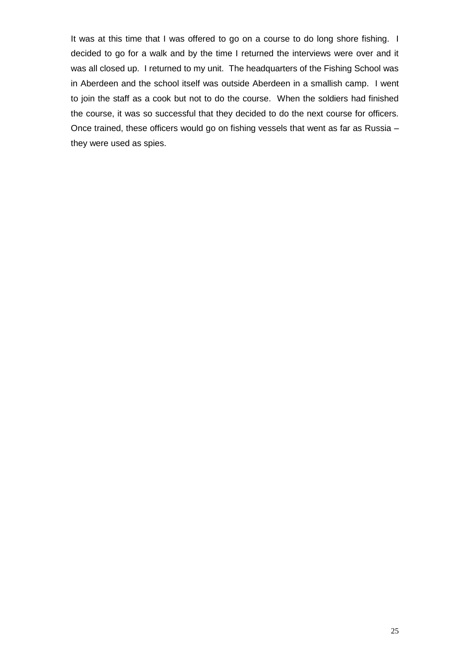It was at this time that I was offered to go on a course to do long shore fishing. I decided to go for a walk and by the time I returned the interviews were over and it was all closed up. I returned to my unit. The headquarters of the Fishing School was in Aberdeen and the school itself was outside Aberdeen in a smallish camp. I went to join the staff as a cook but not to do the course. When the soldiers had finished the course, it was so successful that they decided to do the next course for officers. Once trained, these officers would go on fishing vessels that went as far as Russia – they were used as spies.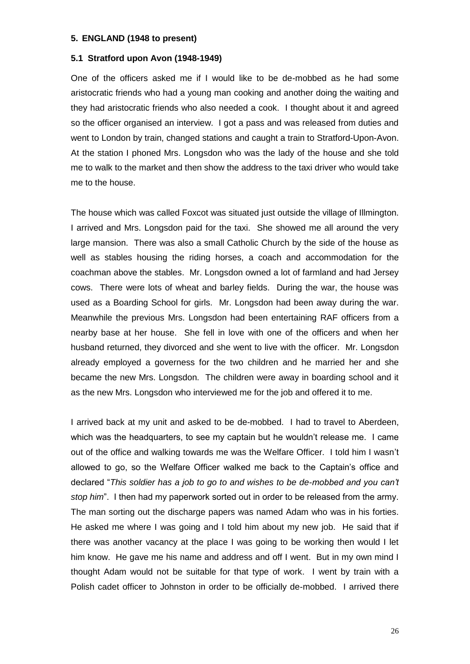#### **5. ENGLAND (1948 to present)**

#### **5.1 Stratford upon Avon (1948-1949)**

One of the officers asked me if I would like to be de-mobbed as he had some aristocratic friends who had a young man cooking and another doing the waiting and they had aristocratic friends who also needed a cook. I thought about it and agreed so the officer organised an interview. I got a pass and was released from duties and went to London by train, changed stations and caught a train to Stratford-Upon-Avon. At the station I phoned Mrs. Longsdon who was the lady of the house and she told me to walk to the market and then show the address to the taxi driver who would take me to the house.

The house which was called Foxcot was situated just outside the village of Illmington. I arrived and Mrs. Longsdon paid for the taxi. She showed me all around the very large mansion. There was also a small Catholic Church by the side of the house as well as stables housing the riding horses, a coach and accommodation for the coachman above the stables. Mr. Longsdon owned a lot of farmland and had Jersey cows. There were lots of wheat and barley fields. During the war, the house was used as a Boarding School for girls. Mr. Longsdon had been away during the war. Meanwhile the previous Mrs. Longsdon had been entertaining RAF officers from a nearby base at her house. She fell in love with one of the officers and when her husband returned, they divorced and she went to live with the officer. Mr. Longsdon already employed a governess for the two children and he married her and she became the new Mrs. Longsdon. The children were away in boarding school and it as the new Mrs. Longsdon who interviewed me for the job and offered it to me.

I arrived back at my unit and asked to be de-mobbed. I had to travel to Aberdeen, which was the headquarters, to see my captain but he wouldn't release me. I came out of the office and walking towards me was the Welfare Officer. I told him I wasn't allowed to go, so the Welfare Officer walked me back to the Captain's office and declared "*This soldier has a job to go to and wishes to be de-mobbed and you can't stop him*". I then had my paperwork sorted out in order to be released from the army. The man sorting out the discharge papers was named Adam who was in his forties. He asked me where I was going and I told him about my new job. He said that if there was another vacancy at the place I was going to be working then would I let him know. He gave me his name and address and off I went. But in my own mind I thought Adam would not be suitable for that type of work. I went by train with a Polish cadet officer to Johnston in order to be officially de-mobbed. I arrived there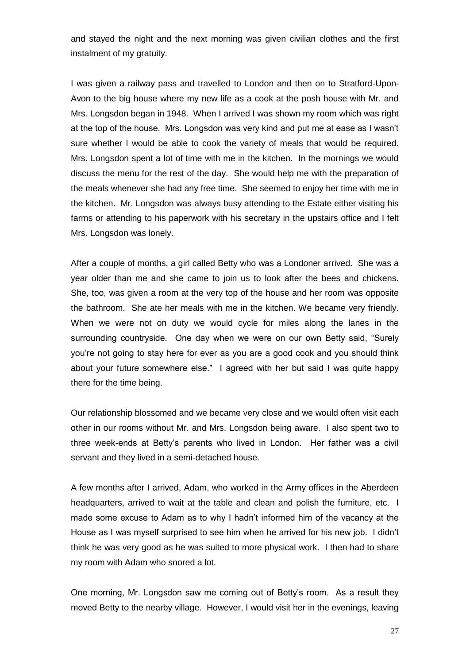and stayed the night and the next morning was given civilian clothes and the first instalment of my gratuity.

I was given a railway pass and travelled to London and then on to Stratford-Upon-Avon to the big house where my new life as a cook at the posh house with Mr. and Mrs. Longsdon began in 1948. When I arrived I was shown my room which was right at the top of the house. Mrs. Longsdon was very kind and put me at ease as I wasn't sure whether I would be able to cook the variety of meals that would be required. Mrs. Longsdon spent a lot of time with me in the kitchen. In the mornings we would discuss the menu for the rest of the day. She would help me with the preparation of the meals whenever she had any free time. She seemed to enjoy her time with me in the kitchen. Mr. Longsdon was always busy attending to the Estate either visiting his farms or attending to his paperwork with his secretary in the upstairs office and I felt Mrs. Longsdon was lonely.

After a couple of months, a girl called Betty who was a Londoner arrived. She was a year older than me and she came to join us to look after the bees and chickens. She, too, was given a room at the very top of the house and her room was opposite the bathroom. She ate her meals with me in the kitchen. We became very friendly. When we were not on duty we would cycle for miles along the lanes in the surrounding countryside. One day when we were on our own Betty said, "Surely you're not going to stay here for ever as you are a good cook and you should think about your future somewhere else." I agreed with her but said I was quite happy there for the time being.

Our relationship blossomed and we became very close and we would often visit each other in our rooms without Mr. and Mrs. Longsdon being aware. I also spent two to three week-ends at Betty's parents who lived in London. Her father was a civil servant and they lived in a semi-detached house.

A few months after I arrived, Adam, who worked in the Army offices in the Aberdeen headquarters, arrived to wait at the table and clean and polish the furniture, etc. I made some excuse to Adam as to why I hadn't informed him of the vacancy at the House as I was myself surprised to see him when he arrived for his new job. I didn't think he was very good as he was suited to more physical work. I then had to share my room with Adam who snored a lot.

One morning, Mr. Longsdon saw me coming out of Betty's room. As a result they moved Betty to the nearby village. However, I would visit her in the evenings, leaving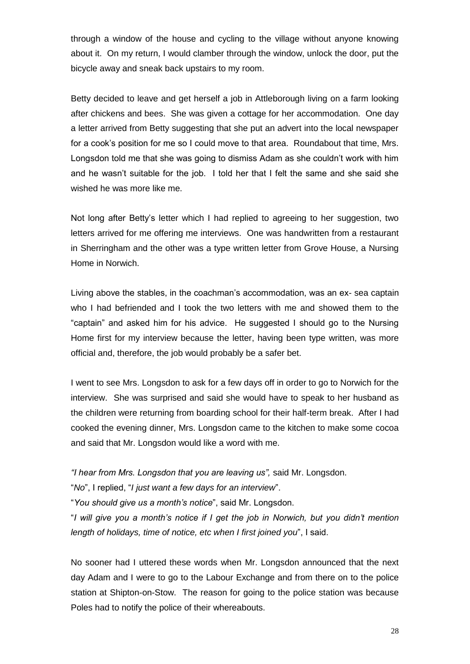through a window of the house and cycling to the village without anyone knowing about it. On my return, I would clamber through the window, unlock the door, put the bicycle away and sneak back upstairs to my room.

Betty decided to leave and get herself a job in Attleborough living on a farm looking after chickens and bees. She was given a cottage for her accommodation. One day a letter arrived from Betty suggesting that she put an advert into the local newspaper for a cook's position for me so I could move to that area. Roundabout that time, Mrs. Longsdon told me that she was going to dismiss Adam as she couldn't work with him and he wasn't suitable for the job. I told her that I felt the same and she said she wished he was more like me.

Not long after Betty's letter which I had replied to agreeing to her suggestion, two letters arrived for me offering me interviews. One was handwritten from a restaurant in Sherringham and the other was a type written letter from Grove House, a Nursing Home in Norwich.

Living above the stables, in the coachman's accommodation, was an ex- sea captain who I had befriended and I took the two letters with me and showed them to the "captain" and asked him for his advice. He suggested I should go to the Nursing Home first for my interview because the letter, having been type written, was more official and, therefore, the job would probably be a safer bet.

I went to see Mrs. Longsdon to ask for a few days off in order to go to Norwich for the interview. She was surprised and said she would have to speak to her husband as the children were returning from boarding school for their half-term break. After I had cooked the evening dinner, Mrs. Longsdon came to the kitchen to make some cocoa and said that Mr. Longsdon would like a word with me.

*"I hear from Mrs. Longsdon that you are leaving us",* said Mr. Longsdon.

"*No*", I replied, "*I just want a few days for an interview*".

"*You should give us a month's notice*", said Mr. Longsdon.

"*I will give you a month's notice if I get the job in Norwich, but you didn't mention length of holidays, time of notice, etc when I first joined you*", I said.

No sooner had I uttered these words when Mr. Longsdon announced that the next day Adam and I were to go to the Labour Exchange and from there on to the police station at Shipton-on-Stow. The reason for going to the police station was because Poles had to notify the police of their whereabouts.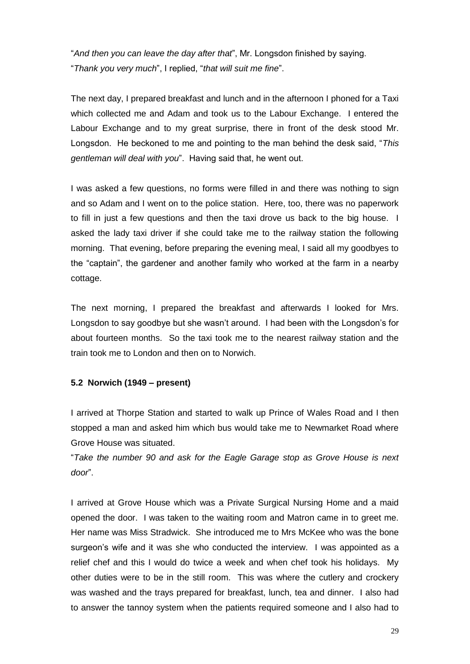"*And then you can leave the day after that*", Mr. Longsdon finished by saying. "*Thank you very much*", I replied, "*that will suit me fine*".

The next day, I prepared breakfast and lunch and in the afternoon I phoned for a Taxi which collected me and Adam and took us to the Labour Exchange. I entered the Labour Exchange and to my great surprise, there in front of the desk stood Mr. Longsdon. He beckoned to me and pointing to the man behind the desk said, "*This gentleman will deal with you*". Having said that, he went out.

I was asked a few questions, no forms were filled in and there was nothing to sign and so Adam and I went on to the police station. Here, too, there was no paperwork to fill in just a few questions and then the taxi drove us back to the big house. I asked the lady taxi driver if she could take me to the railway station the following morning. That evening, before preparing the evening meal, I said all my goodbyes to the "captain", the gardener and another family who worked at the farm in a nearby cottage.

The next morning, I prepared the breakfast and afterwards I looked for Mrs. Longsdon to say goodbye but she wasn't around. I had been with the Longsdon's for about fourteen months. So the taxi took me to the nearest railway station and the train took me to London and then on to Norwich.

### **5.2 Norwich (1949 – present)**

I arrived at Thorpe Station and started to walk up Prince of Wales Road and I then stopped a man and asked him which bus would take me to Newmarket Road where Grove House was situated.

"*Take the number 90 and ask for the Eagle Garage stop as Grove House is next door*".

I arrived at Grove House which was a Private Surgical Nursing Home and a maid opened the door. I was taken to the waiting room and Matron came in to greet me. Her name was Miss Stradwick. She introduced me to Mrs McKee who was the bone surgeon's wife and it was she who conducted the interview. I was appointed as a relief chef and this I would do twice a week and when chef took his holidays. My other duties were to be in the still room. This was where the cutlery and crockery was washed and the trays prepared for breakfast, lunch, tea and dinner. I also had to answer the tannoy system when the patients required someone and I also had to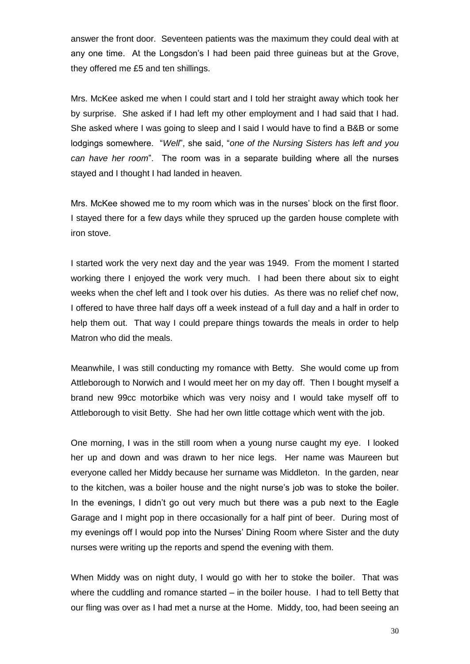answer the front door. Seventeen patients was the maximum they could deal with at any one time. At the Longsdon's I had been paid three guineas but at the Grove, they offered me £5 and ten shillings.

Mrs. McKee asked me when I could start and I told her straight away which took her by surprise. She asked if I had left my other employment and I had said that I had. She asked where I was going to sleep and I said I would have to find a B&B or some lodgings somewhere. "*Well*", she said, "*one of the Nursing Sisters has left and you can have her room*". The room was in a separate building where all the nurses stayed and I thought I had landed in heaven.

Mrs. McKee showed me to my room which was in the nurses' block on the first floor. I stayed there for a few days while they spruced up the garden house complete with iron stove.

I started work the very next day and the year was 1949. From the moment I started working there I enjoyed the work very much. I had been there about six to eight weeks when the chef left and I took over his duties. As there was no relief chef now, I offered to have three half days off a week instead of a full day and a half in order to help them out. That way I could prepare things towards the meals in order to help Matron who did the meals.

Meanwhile, I was still conducting my romance with Betty. She would come up from Attleborough to Norwich and I would meet her on my day off. Then I bought myself a brand new 99cc motorbike which was very noisy and I would take myself off to Attleborough to visit Betty. She had her own little cottage which went with the job.

One morning, I was in the still room when a young nurse caught my eye. I looked her up and down and was drawn to her nice legs. Her name was Maureen but everyone called her Middy because her surname was Middleton. In the garden, near to the kitchen, was a boiler house and the night nurse's job was to stoke the boiler. In the evenings, I didn't go out very much but there was a pub next to the Eagle Garage and I might pop in there occasionally for a half pint of beer. During most of my evenings off I would pop into the Nurses' Dining Room where Sister and the duty nurses were writing up the reports and spend the evening with them.

When Middy was on night duty, I would go with her to stoke the boiler. That was where the cuddling and romance started – in the boiler house. I had to tell Betty that our fling was over as I had met a nurse at the Home. Middy, too, had been seeing an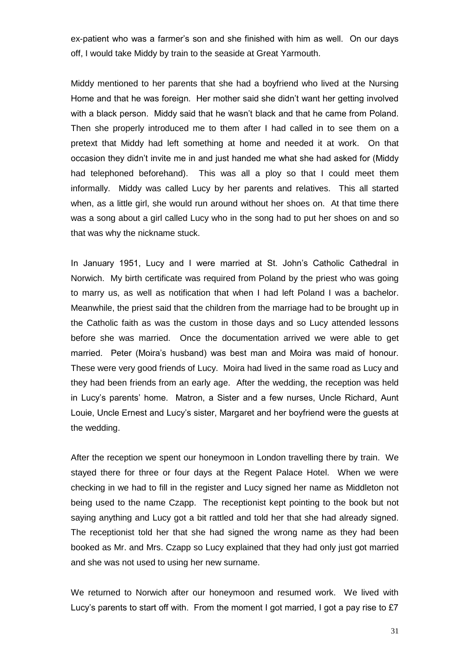ex-patient who was a farmer's son and she finished with him as well. On our days off, I would take Middy by train to the seaside at Great Yarmouth.

Middy mentioned to her parents that she had a boyfriend who lived at the Nursing Home and that he was foreign. Her mother said she didn't want her getting involved with a black person. Middy said that he wasn't black and that he came from Poland. Then she properly introduced me to them after I had called in to see them on a pretext that Middy had left something at home and needed it at work. On that occasion they didn't invite me in and just handed me what she had asked for (Middy had telephoned beforehand). This was all a ploy so that I could meet them informally. Middy was called Lucy by her parents and relatives. This all started when, as a little girl, she would run around without her shoes on. At that time there was a song about a girl called Lucy who in the song had to put her shoes on and so that was why the nickname stuck.

In January 1951, Lucy and I were married at St. John's Catholic Cathedral in Norwich. My birth certificate was required from Poland by the priest who was going to marry us, as well as notification that when I had left Poland I was a bachelor. Meanwhile, the priest said that the children from the marriage had to be brought up in the Catholic faith as was the custom in those days and so Lucy attended lessons before she was married. Once the documentation arrived we were able to get married. Peter (Moira's husband) was best man and Moira was maid of honour. These were very good friends of Lucy. Moira had lived in the same road as Lucy and they had been friends from an early age. After the wedding, the reception was held in Lucy's parents' home. Matron, a Sister and a few nurses, Uncle Richard, Aunt Louie, Uncle Ernest and Lucy's sister, Margaret and her boyfriend were the guests at the wedding.

After the reception we spent our honeymoon in London travelling there by train. We stayed there for three or four days at the Regent Palace Hotel. When we were checking in we had to fill in the register and Lucy signed her name as Middleton not being used to the name Czapp. The receptionist kept pointing to the book but not saying anything and Lucy got a bit rattled and told her that she had already signed. The receptionist told her that she had signed the wrong name as they had been booked as Mr. and Mrs. Czapp so Lucy explained that they had only just got married and she was not used to using her new surname.

We returned to Norwich after our honeymoon and resumed work. We lived with Lucy's parents to start off with. From the moment I got married, I got a pay rise to £7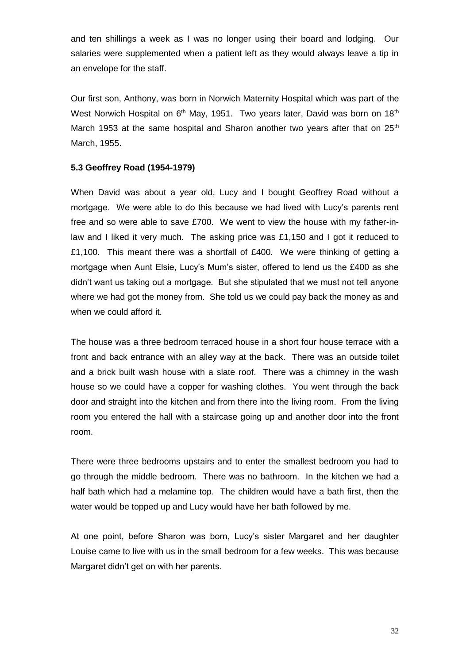and ten shillings a week as I was no longer using their board and lodging. Our salaries were supplemented when a patient left as they would always leave a tip in an envelope for the staff.

Our first son, Anthony, was born in Norwich Maternity Hospital which was part of the West Norwich Hospital on  $6<sup>th</sup>$  May, 1951. Two years later, David was born on 18<sup>th</sup> March 1953 at the same hospital and Sharon another two years after that on  $25<sup>th</sup>$ March, 1955.

## **5.3 Geoffrey Road (1954-1979)**

When David was about a year old, Lucy and I bought Geoffrey Road without a mortgage. We were able to do this because we had lived with Lucy's parents rent free and so were able to save £700. We went to view the house with my father-inlaw and I liked it very much. The asking price was £1,150 and I got it reduced to £1,100. This meant there was a shortfall of £400. We were thinking of getting a mortgage when Aunt Elsie, Lucy's Mum's sister, offered to lend us the £400 as she didn't want us taking out a mortgage. But she stipulated that we must not tell anyone where we had got the money from. She told us we could pay back the money as and when we could afford it.

The house was a three bedroom terraced house in a short four house terrace with a front and back entrance with an alley way at the back. There was an outside toilet and a brick built wash house with a slate roof. There was a chimney in the wash house so we could have a copper for washing clothes. You went through the back door and straight into the kitchen and from there into the living room. From the living room you entered the hall with a staircase going up and another door into the front room.

There were three bedrooms upstairs and to enter the smallest bedroom you had to go through the middle bedroom. There was no bathroom. In the kitchen we had a half bath which had a melamine top. The children would have a bath first, then the water would be topped up and Lucy would have her bath followed by me.

At one point, before Sharon was born, Lucy's sister Margaret and her daughter Louise came to live with us in the small bedroom for a few weeks. This was because Margaret didn't get on with her parents.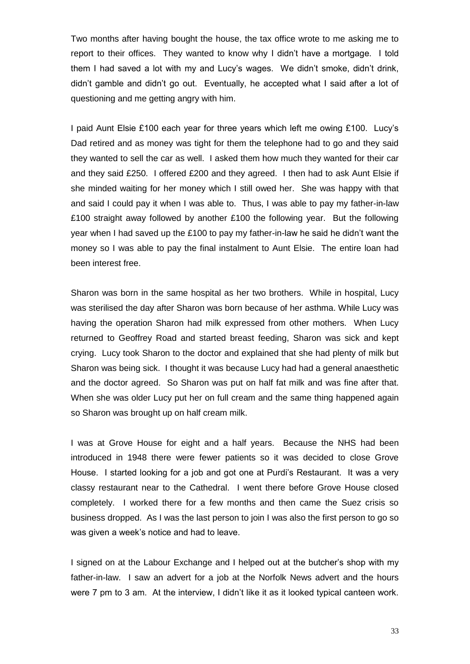Two months after having bought the house, the tax office wrote to me asking me to report to their offices. They wanted to know why I didn't have a mortgage. I told them I had saved a lot with my and Lucy's wages. We didn't smoke, didn't drink, didn't gamble and didn't go out. Eventually, he accepted what I said after a lot of questioning and me getting angry with him.

I paid Aunt Elsie £100 each year for three years which left me owing £100. Lucy's Dad retired and as money was tight for them the telephone had to go and they said they wanted to sell the car as well. I asked them how much they wanted for their car and they said £250. I offered £200 and they agreed. I then had to ask Aunt Elsie if she minded waiting for her money which I still owed her. She was happy with that and said I could pay it when I was able to. Thus, I was able to pay my father-in-law £100 straight away followed by another £100 the following year. But the following year when I had saved up the £100 to pay my father-in-law he said he didn't want the money so I was able to pay the final instalment to Aunt Elsie. The entire loan had been interest free.

Sharon was born in the same hospital as her two brothers. While in hospital, Lucy was sterilised the day after Sharon was born because of her asthma. While Lucy was having the operation Sharon had milk expressed from other mothers. When Lucy returned to Geoffrey Road and started breast feeding, Sharon was sick and kept crying. Lucy took Sharon to the doctor and explained that she had plenty of milk but Sharon was being sick. I thought it was because Lucy had had a general anaesthetic and the doctor agreed. So Sharon was put on half fat milk and was fine after that. When she was older Lucy put her on full cream and the same thing happened again so Sharon was brought up on half cream milk.

I was at Grove House for eight and a half years. Because the NHS had been introduced in 1948 there were fewer patients so it was decided to close Grove House. I started looking for a job and got one at Purdi's Restaurant. It was a very classy restaurant near to the Cathedral. I went there before Grove House closed completely. I worked there for a few months and then came the Suez crisis so business dropped. As I was the last person to join I was also the first person to go so was given a week's notice and had to leave.

I signed on at the Labour Exchange and I helped out at the butcher's shop with my father-in-law. I saw an advert for a job at the Norfolk News advert and the hours were 7 pm to 3 am. At the interview, I didn't like it as it looked typical canteen work.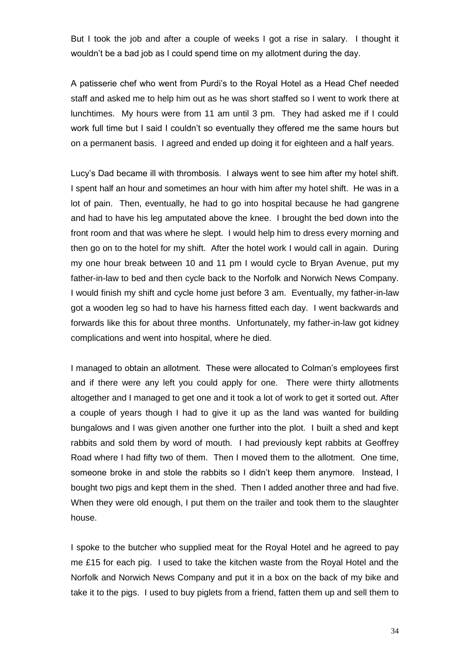But I took the job and after a couple of weeks I got a rise in salary. I thought it wouldn't be a bad job as I could spend time on my allotment during the day.

A patisserie chef who went from Purdi's to the Royal Hotel as a Head Chef needed staff and asked me to help him out as he was short staffed so I went to work there at lunchtimes. My hours were from 11 am until 3 pm. They had asked me if I could work full time but I said I couldn't so eventually they offered me the same hours but on a permanent basis. I agreed and ended up doing it for eighteen and a half years.

Lucy's Dad became ill with thrombosis. I always went to see him after my hotel shift. I spent half an hour and sometimes an hour with him after my hotel shift. He was in a lot of pain. Then, eventually, he had to go into hospital because he had gangrene and had to have his leg amputated above the knee. I brought the bed down into the front room and that was where he slept. I would help him to dress every morning and then go on to the hotel for my shift. After the hotel work I would call in again. During my one hour break between 10 and 11 pm I would cycle to Bryan Avenue, put my father-in-law to bed and then cycle back to the Norfolk and Norwich News Company. I would finish my shift and cycle home just before 3 am. Eventually, my father-in-law got a wooden leg so had to have his harness fitted each day. I went backwards and forwards like this for about three months. Unfortunately, my father-in-law got kidney complications and went into hospital, where he died.

I managed to obtain an allotment. These were allocated to Colman's employees first and if there were any left you could apply for one. There were thirty allotments altogether and I managed to get one and it took a lot of work to get it sorted out. After a couple of years though I had to give it up as the land was wanted for building bungalows and I was given another one further into the plot. I built a shed and kept rabbits and sold them by word of mouth. I had previously kept rabbits at Geoffrey Road where I had fifty two of them. Then I moved them to the allotment. One time, someone broke in and stole the rabbits so I didn't keep them anymore. Instead, I bought two pigs and kept them in the shed. Then I added another three and had five. When they were old enough, I put them on the trailer and took them to the slaughter house.

I spoke to the butcher who supplied meat for the Royal Hotel and he agreed to pay me £15 for each pig. I used to take the kitchen waste from the Royal Hotel and the Norfolk and Norwich News Company and put it in a box on the back of my bike and take it to the pigs. I used to buy piglets from a friend, fatten them up and sell them to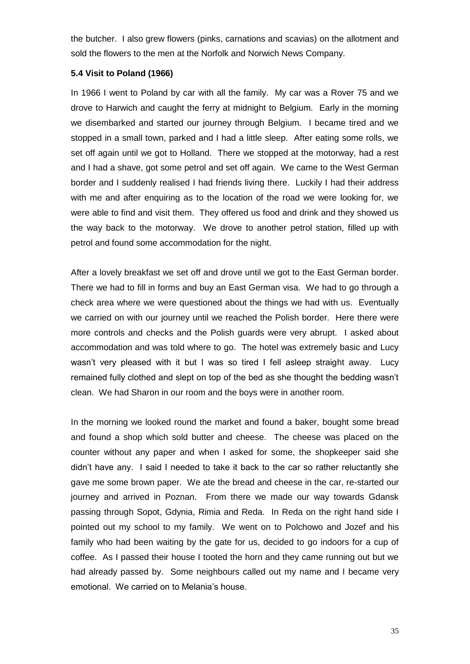the butcher. I also grew flowers (pinks, carnations and scavias) on the allotment and sold the flowers to the men at the Norfolk and Norwich News Company.

## **5.4 Visit to Poland (1966)**

In 1966 I went to Poland by car with all the family. My car was a Rover 75 and we drove to Harwich and caught the ferry at midnight to Belgium. Early in the morning we disembarked and started our journey through Belgium. I became tired and we stopped in a small town, parked and I had a little sleep. After eating some rolls, we set off again until we got to Holland. There we stopped at the motorway, had a rest and I had a shave, got some petrol and set off again. We came to the West German border and I suddenly realised I had friends living there. Luckily I had their address with me and after enquiring as to the location of the road we were looking for, we were able to find and visit them. They offered us food and drink and they showed us the way back to the motorway. We drove to another petrol station, filled up with petrol and found some accommodation for the night.

After a lovely breakfast we set off and drove until we got to the East German border. There we had to fill in forms and buy an East German visa. We had to go through a check area where we were questioned about the things we had with us. Eventually we carried on with our journey until we reached the Polish border. Here there were more controls and checks and the Polish guards were very abrupt. I asked about accommodation and was told where to go. The hotel was extremely basic and Lucy wasn't very pleased with it but I was so tired I fell asleep straight away. Lucy remained fully clothed and slept on top of the bed as she thought the bedding wasn't clean. We had Sharon in our room and the boys were in another room.

In the morning we looked round the market and found a baker, bought some bread and found a shop which sold butter and cheese. The cheese was placed on the counter without any paper and when I asked for some, the shopkeeper said she didn't have any. I said I needed to take it back to the car so rather reluctantly she gave me some brown paper. We ate the bread and cheese in the car, re-started our journey and arrived in Poznan. From there we made our way towards Gdansk passing through Sopot, Gdynia, Rimia and Reda. In Reda on the right hand side I pointed out my school to my family. We went on to Polchowo and Jozef and his family who had been waiting by the gate for us, decided to go indoors for a cup of coffee. As I passed their house I tooted the horn and they came running out but we had already passed by. Some neighbours called out my name and I became very emotional. We carried on to Melania's house.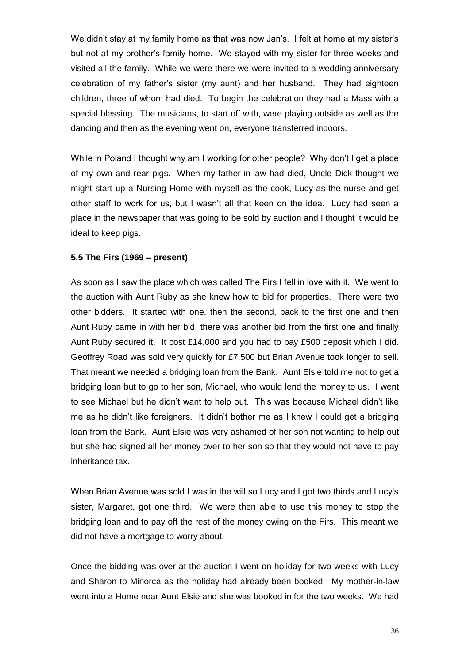We didn't stay at my family home as that was now Jan's. I felt at home at my sister's but not at my brother's family home. We stayed with my sister for three weeks and visited all the family. While we were there we were invited to a wedding anniversary celebration of my father's sister (my aunt) and her husband. They had eighteen children, three of whom had died. To begin the celebration they had a Mass with a special blessing. The musicians, to start off with, were playing outside as well as the dancing and then as the evening went on, everyone transferred indoors.

While in Poland I thought why am I working for other people? Why don't I get a place of my own and rear pigs. When my father-in-law had died, Uncle Dick thought we might start up a Nursing Home with myself as the cook, Lucy as the nurse and get other staff to work for us, but I wasn't all that keen on the idea. Lucy had seen a place in the newspaper that was going to be sold by auction and I thought it would be ideal to keep pigs.

## **5.5 The Firs (1969 – present)**

As soon as I saw the place which was called The Firs I fell in love with it. We went to the auction with Aunt Ruby as she knew how to bid for properties. There were two other bidders. It started with one, then the second, back to the first one and then Aunt Ruby came in with her bid, there was another bid from the first one and finally Aunt Ruby secured it. It cost £14,000 and you had to pay £500 deposit which I did. Geoffrey Road was sold very quickly for £7,500 but Brian Avenue took longer to sell. That meant we needed a bridging loan from the Bank. Aunt Elsie told me not to get a bridging loan but to go to her son, Michael, who would lend the money to us. I went to see Michael but he didn't want to help out. This was because Michael didn't like me as he didn't like foreigners. It didn't bother me as I knew I could get a bridging loan from the Bank. Aunt Elsie was very ashamed of her son not wanting to help out but she had signed all her money over to her son so that they would not have to pay inheritance tax.

When Brian Avenue was sold I was in the will so Lucy and I got two thirds and Lucy's sister, Margaret, got one third. We were then able to use this money to stop the bridging loan and to pay off the rest of the money owing on the Firs. This meant we did not have a mortgage to worry about.

Once the bidding was over at the auction I went on holiday for two weeks with Lucy and Sharon to Minorca as the holiday had already been booked. My mother-in-law went into a Home near Aunt Elsie and she was booked in for the two weeks. We had